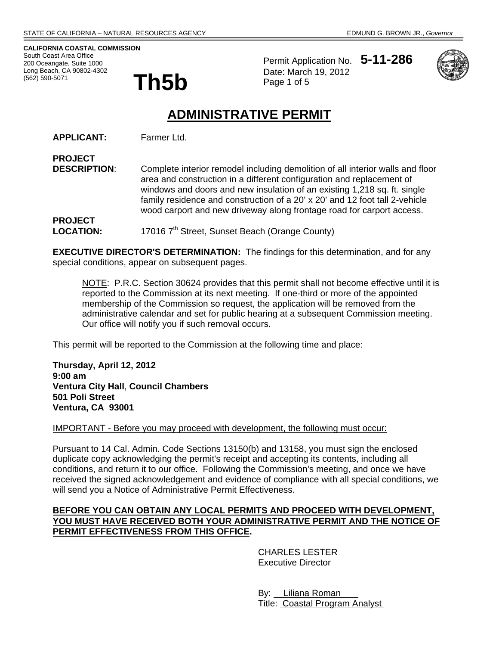**CALIFORNIA COASTAL COMMISSION**  South Coast Area Office 200 Oceangate, Suite 1000 Long Beach, CA 90802-4302 (562) 590-5071

**PROJECT** 

Permit Application No. **5-11-286 Th5b** Date: March 19, 2012



# **ADMINISTRATIVE PERMIT**

**APPLICANT:** Farmer Ltd.

**DESCRIPTION:** Complete interior remodel including demolition of all interior walls and floor area and construction in a different configuration and replacement of windows and doors and new insulation of an existing 1,218 sq. ft. single family residence and construction of a 20' x 20' and 12 foot tall 2-vehicle wood carport and new driveway along frontage road for carport access. **PROJECT** 

LOCATION: 17016 7<sup>th</sup> Street, Sunset Beach (Orange County)

**EXECUTIVE DIRECTOR'S DETERMINATION:** The findings for this determination, and for any special conditions, appear on subsequent pages.

NOTE: P.R.C. Section 30624 provides that this permit shall not become effective until it is reported to the Commission at its next meeting. If one-third or more of the appointed membership of the Commission so request, the application will be removed from the administrative calendar and set for public hearing at a subsequent Commission meeting. Our office will notify you if such removal occurs.

This permit will be reported to the Commission at the following time and place:

**Thursday, April 12, 2012 9:00 am Ventura City Hall**, **Council Chambers 501 Poli Street Ventura, CA 93001** 

IMPORTANT - Before you may proceed with development, the following must occur:

Pursuant to 14 Cal. Admin. Code Sections 13150(b) and 13158, you must sign the enclosed duplicate copy acknowledging the permit's receipt and accepting its contents, including all conditions, and return it to our office. Following the Commission's meeting, and once we have received the signed acknowledgement and evidence of compliance with all special conditions, we will send you a Notice of Administrative Permit Effectiveness.

### **BEFORE YOU CAN OBTAIN ANY LOCAL PERMITS AND PROCEED WITH DEVELOPMENT, YOU MUST HAVE RECEIVED BOTH YOUR ADMINISTRATIVE PERMIT AND THE NOTICE OF PERMIT EFFECTIVENESS FROM THIS OFFICE.**

 CHARLES LESTER Executive Director

 By: Liliana Roman Title: Coastal Program Analyst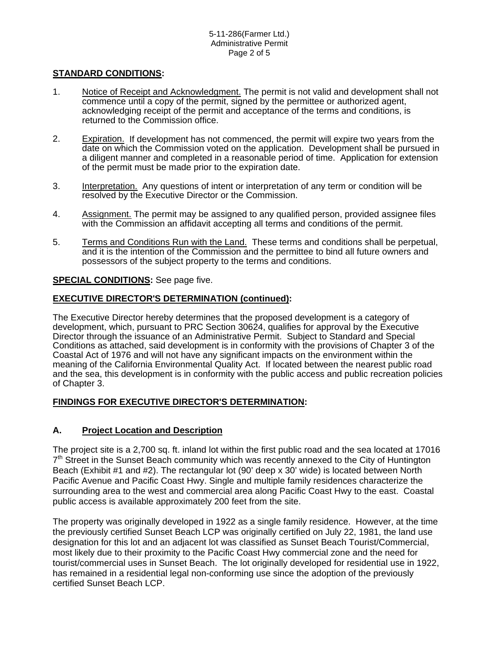# **STANDARD CONDITIONS:**

- 1. Notice of Receipt and Acknowledgment. The permit is not valid and development shall not commence until a copy of the permit, signed by the permittee or authorized agent, acknowledging receipt of the permit and acceptance of the terms and conditions, is returned to the Commission office.
- 2. Expiration. If development has not commenced, the permit will expire two years from the date on which the Commission voted on the application. Development shall be pursued in a diligent manner and completed in a reasonable period of time. Application for extension of the permit must be made prior to the expiration date.
- 3. Interpretation. Any questions of intent or interpretation of any term or condition will be resolved by the Executive Director or the Commission.
- 4. Assignment. The permit may be assigned to any qualified person, provided assignee files with the Commission an affidavit accepting all terms and conditions of the permit.
- 5. Terms and Conditions Run with the Land. These terms and conditions shall be perpetual, and it is the intention of the Commission and the permittee to bind all future owners and possessors of the subject property to the terms and conditions.

# **SPECIAL CONDITIONS:** See page five.

# **EXECUTIVE DIRECTOR'S DETERMINATION (continued):**

The Executive Director hereby determines that the proposed development is a category of development, which, pursuant to PRC Section 30624, qualifies for approval by the Executive Director through the issuance of an Administrative Permit. Subject to Standard and Special Conditions as attached, said development is in conformity with the provisions of Chapter 3 of the Coastal Act of 1976 and will not have any significant impacts on the environment within the meaning of the California Environmental Quality Act. If located between the nearest public road and the sea, this development is in conformity with the public access and public recreation policies of Chapter 3.

# **FINDINGS FOR EXECUTIVE DIRECTOR'S DETERMINATION:**

# **A. Project Location and Description**

The project site is a 2,700 sq. ft. inland lot within the first public road and the sea located at 17016  $7<sup>th</sup>$  Street in the Sunset Beach community which was recently annexed to the City of Huntington Beach (Exhibit #1 and #2). The rectangular lot (90' deep x 30' wide) is located between North Pacific Avenue and Pacific Coast Hwy. Single and multiple family residences characterize the surrounding area to the west and commercial area along Pacific Coast Hwy to the east. Coastal public access is available approximately 200 feet from the site.

The property was originally developed in 1922 as a single family residence. However, at the time the previously certified Sunset Beach LCP was originally certified on July 22, 1981, the land use designation for this lot and an adjacent lot was classified as Sunset Beach Tourist/Commercial, most likely due to their proximity to the Pacific Coast Hwy commercial zone and the need for tourist/commercial uses in Sunset Beach. The lot originally developed for residential use in 1922, has remained in a residential legal non-conforming use since the adoption of the previously certified Sunset Beach LCP.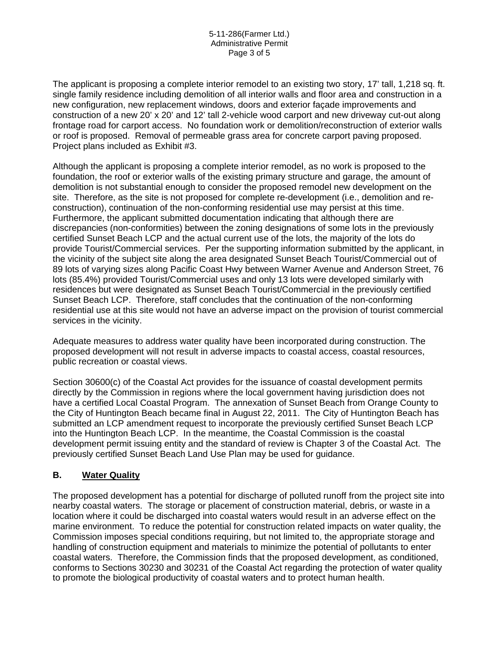The applicant is proposing a complete interior remodel to an existing two story, 17' tall, 1,218 sq. ft. single family residence including demolition of all interior walls and floor area and construction in a new configuration, new replacement windows, doors and exterior façade improvements and construction of a new 20' x 20' and 12' tall 2-vehicle wood carport and new driveway cut-out along frontage road for carport access. No foundation work or demolition/reconstruction of exterior walls or roof is proposed. Removal of permeable grass area for concrete carport paving proposed. Project plans included as Exhibit #3.

Although the applicant is proposing a complete interior remodel, as no work is proposed to the foundation, the roof or exterior walls of the existing primary structure and garage, the amount of demolition is not substantial enough to consider the proposed remodel new development on the site. Therefore, as the site is not proposed for complete re-development (i.e., demolition and reconstruction), continuation of the non-conforming residential use may persist at this time. Furthermore, the applicant submitted documentation indicating that although there are discrepancies (non-conformities) between the zoning designations of some lots in the previously certified Sunset Beach LCP and the actual current use of the lots, the majority of the lots do provide Tourist/Commercial services. Per the supporting information submitted by the applicant, in the vicinity of the subject site along the area designated Sunset Beach Tourist/Commercial out of 89 lots of varying sizes along Pacific Coast Hwy between Warner Avenue and Anderson Street, 76 lots (85.4%) provided Tourist/Commercial uses and only 13 lots were developed similarly with residences but were designated as Sunset Beach Tourist/Commercial in the previously certified Sunset Beach LCP. Therefore, staff concludes that the continuation of the non-conforming residential use at this site would not have an adverse impact on the provision of tourist commercial services in the vicinity.

Adequate measures to address water quality have been incorporated during construction. The proposed development will not result in adverse impacts to coastal access, coastal resources, public recreation or coastal views.

Section 30600(c) of the Coastal Act provides for the issuance of coastal development permits directly by the Commission in regions where the local government having jurisdiction does not have a certified Local Coastal Program. The annexation of Sunset Beach from Orange County to the City of Huntington Beach became final in August 22, 2011. The City of Huntington Beach has submitted an LCP amendment request to incorporate the previously certified Sunset Beach LCP into the Huntington Beach LCP. In the meantime, the Coastal Commission is the coastal development permit issuing entity and the standard of review is Chapter 3 of the Coastal Act. The previously certified Sunset Beach Land Use Plan may be used for guidance.

# **B. Water Quality**

The proposed development has a potential for discharge of polluted runoff from the project site into nearby coastal waters. The storage or placement of construction material, debris, or waste in a location where it could be discharged into coastal waters would result in an adverse effect on the marine environment. To reduce the potential for construction related impacts on water quality, the Commission imposes special conditions requiring, but not limited to, the appropriate storage and handling of construction equipment and materials to minimize the potential of pollutants to enter coastal waters. Therefore, the Commission finds that the proposed development, as conditioned, conforms to Sections 30230 and 30231 of the Coastal Act regarding the protection of water quality to promote the biological productivity of coastal waters and to protect human health.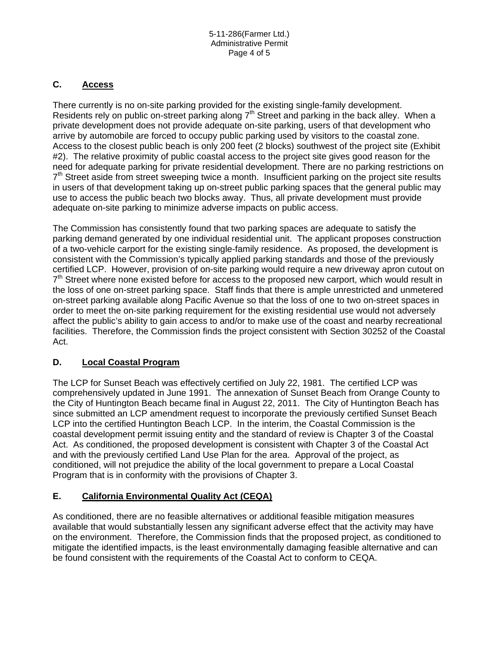# **C. Access**

There currently is no on-site parking provided for the existing single-family development. Residents rely on public on-street parking along  $7<sup>th</sup>$  Street and parking in the back alley. When a private development does not provide adequate on-site parking, users of that development who arrive by automobile are forced to occupy public parking used by visitors to the coastal zone. Access to the closest public beach is only 200 feet (2 blocks) southwest of the project site (Exhibit #2). The relative proximity of public coastal access to the project site gives good reason for the need for adequate parking for private residential development. There are no parking restrictions on  $7<sup>th</sup>$  Street aside from street sweeping twice a month. Insufficient parking on the project site results in users of that development taking up on-street public parking spaces that the general public may use to access the public beach two blocks away. Thus, all private development must provide adequate on-site parking to minimize adverse impacts on public access.

The Commission has consistently found that two parking spaces are adequate to satisfy the parking demand generated by one individual residential unit. The applicant proposes construction of a two-vehicle carport for the existing single-family residence. As proposed, the development is consistent with the Commission's typically applied parking standards and those of the previously certified LCP. However, provision of on-site parking would require a new driveway apron cutout on  $7<sup>th</sup>$  Street where none existed before for access to the proposed new carport, which would result in the loss of one on-street parking space. Staff finds that there is ample unrestricted and unmetered on-street parking available along Pacific Avenue so that the loss of one to two on-street spaces in order to meet the on-site parking requirement for the existing residential use would not adversely affect the public's ability to gain access to and/or to make use of the coast and nearby recreational facilities. Therefore, the Commission finds the project consistent with Section 30252 of the Coastal Act.

# **D. Local Coastal Program**

The LCP for Sunset Beach was effectively certified on July 22, 1981. The certified LCP was comprehensively updated in June 1991. The annexation of Sunset Beach from Orange County to the City of Huntington Beach became final in August 22, 2011. The City of Huntington Beach has since submitted an LCP amendment request to incorporate the previously certified Sunset Beach LCP into the certified Huntington Beach LCP. In the interim, the Coastal Commission is the coastal development permit issuing entity and the standard of review is Chapter 3 of the Coastal Act. As conditioned, the proposed development is consistent with Chapter 3 of the Coastal Act and with the previously certified Land Use Plan for the area. Approval of the project, as conditioned, will not prejudice the ability of the local government to prepare a Local Coastal Program that is in conformity with the provisions of Chapter 3.

# **E. California Environmental Quality Act (CEQA)**

As conditioned, there are no feasible alternatives or additional feasible mitigation measures available that would substantially lessen any significant adverse effect that the activity may have on the environment. Therefore, the Commission finds that the proposed project, as conditioned to mitigate the identified impacts, is the least environmentally damaging feasible alternative and can be found consistent with the requirements of the Coastal Act to conform to CEQA.